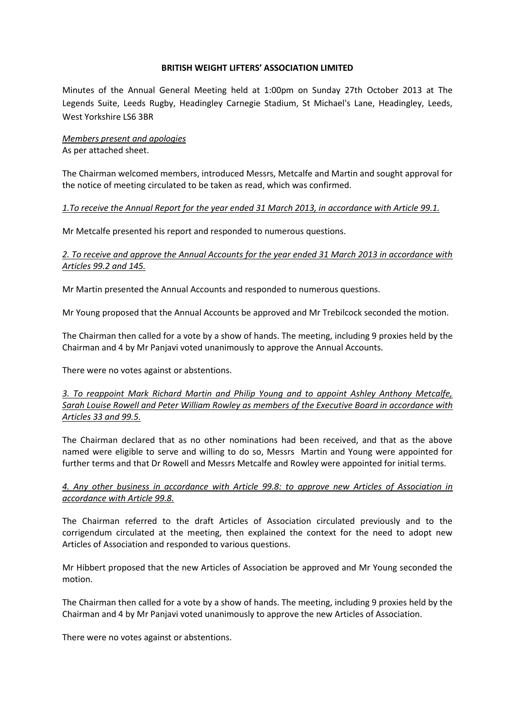### **BRITISH WEIGHT LIFTERS' ASSOCIATION LIMITED**

Minutes of the Annual General Meeting held at 1:00pm on Sunday 27th October 2013 at The Legends Suite, Leeds Rugby, Headingley Carnegie Stadium, St Michael's Lane, Headingley, Leeds, West Yorkshire LS6 3BR

### *Members present and apologies* As per attached sheet.

The Chairman welcomed members, introduced Messrs, Metcalfe and Martin and sought approval for the notice of meeting circulated to be taken as read, which was confirmed.

## *1.To receive the Annual Report for the year ended 31 March 2013, in accordance with Article 99.1.*

Mr Metcalfe presented his report and responded to numerous questions.

# *2. To receive and approve the Annual Accounts for the year ended 31 March 2013 in accordance with Articles 99.2 and 145.*

Mr Martin presented the Annual Accounts and responded to numerous questions.

Mr Young proposed that the Annual Accounts be approved and Mr Trebilcock seconded the motion.

The Chairman then called for a vote by a show of hands. The meeting, including 9 proxies held by the Chairman and 4 by Mr Panjavi voted unanimously to approve the Annual Accounts.

There were no votes against or abstentions.

# *3. To reappoint Mark Richard Martin and Philip Young and to appoint Ashley Anthony Metcalfe, Sarah Louise Rowell and Peter William Rowley as members of the Executive Board in accordance with Articles 33 and 99.5.*

The Chairman declared that as no other nominations had been received, and that as the above named were eligible to serve and willing to do so, Messrs Martin and Young were appointed for further terms and that Dr Rowell and Messrs Metcalfe and Rowley were appointed for initial terms.

## *4. Any other business in accordance with Article 99.8: to approve new Articles of Association in accordance with Article 99.8.*

The Chairman referred to the draft Articles of Association circulated previously and to the corrigendum circulated at the meeting, then explained the context for the need to adopt new Articles of Association and responded to various questions.

Mr Hibbert proposed that the new Articles of Association be approved and Mr Young seconded the motion.

The Chairman then called for a vote by a show of hands. The meeting, including 9 proxies held by the Chairman and 4 by Mr Panjavi voted unanimously to approve the new Articles of Association.

There were no votes against or abstentions.